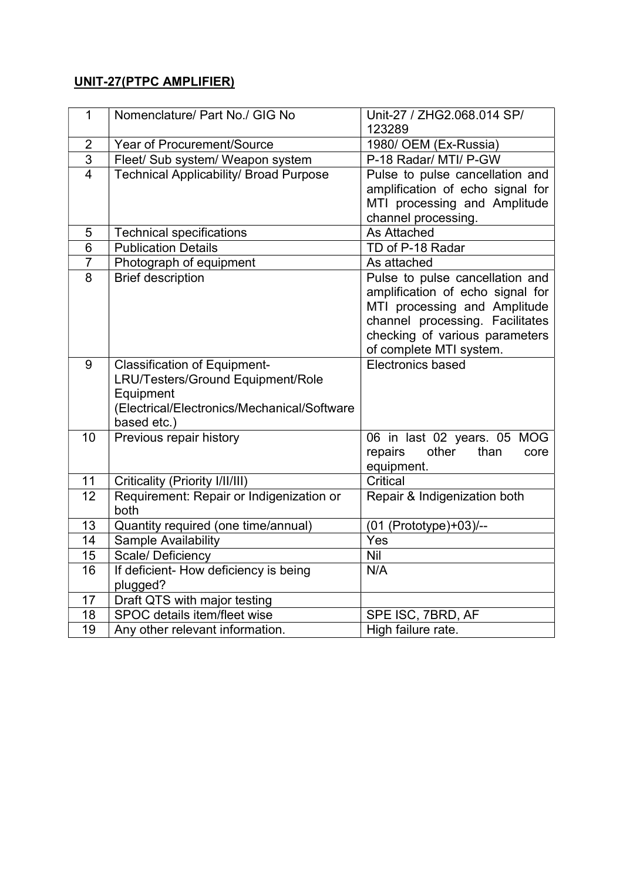## UNIT-27(PTPC AMPLIFIER)

| $\mathbf{1}$    | Nomenclature/ Part No./ GIG No                                                                                                                      | Unit-27 / ZHG2.068.014 SP/<br>123289                                                                                                                                                                |
|-----------------|-----------------------------------------------------------------------------------------------------------------------------------------------------|-----------------------------------------------------------------------------------------------------------------------------------------------------------------------------------------------------|
| $\overline{2}$  | <b>Year of Procurement/Source</b>                                                                                                                   | 1980/ OEM (Ex-Russia)                                                                                                                                                                               |
| $\overline{3}$  | Fleet/ Sub system/ Weapon system                                                                                                                    | P-18 Radar/ MTI/ P-GW                                                                                                                                                                               |
| $\overline{4}$  | <b>Technical Applicability/ Broad Purpose</b>                                                                                                       | Pulse to pulse cancellation and<br>amplification of echo signal for<br>MTI processing and Amplitude<br>channel processing.                                                                          |
| 5               | <b>Technical specifications</b>                                                                                                                     | <b>As Attached</b>                                                                                                                                                                                  |
| $6\phantom{1}$  | <b>Publication Details</b>                                                                                                                          | TD of P-18 Radar                                                                                                                                                                                    |
| $\overline{7}$  | Photograph of equipment                                                                                                                             | As attached                                                                                                                                                                                         |
| $\overline{8}$  | <b>Brief description</b>                                                                                                                            | Pulse to pulse cancellation and<br>amplification of echo signal for<br>MTI processing and Amplitude<br>channel processing. Facilitates<br>checking of various parameters<br>of complete MTI system. |
| 9               | <b>Classification of Equipment-</b><br>LRU/Testers/Ground Equipment/Role<br>Equipment<br>(Electrical/Electronics/Mechanical/Software<br>based etc.) | Electronics based                                                                                                                                                                                   |
| 10              | Previous repair history                                                                                                                             | 06 in last 02 years. 05 MOG<br>other<br>than<br>repairs<br>core<br>equipment.                                                                                                                       |
| 11              | Criticality (Priority I/II/III)                                                                                                                     | Critical                                                                                                                                                                                            |
| $\overline{12}$ | Requirement: Repair or Indigenization or<br>both                                                                                                    | Repair & Indigenization both                                                                                                                                                                        |
| 13              | Quantity required (one time/annual)                                                                                                                 | (01 (Prototype)+03)/--                                                                                                                                                                              |
| 14              | Sample Availability                                                                                                                                 | Yes                                                                                                                                                                                                 |
| 15              | Scale/ Deficiency                                                                                                                                   | <b>Nil</b>                                                                                                                                                                                          |
| 16              | If deficient- How deficiency is being<br>plugged?                                                                                                   | N/A                                                                                                                                                                                                 |
| 17              | Draft QTS with major testing                                                                                                                        |                                                                                                                                                                                                     |
| 18              | SPOC details item/fleet wise                                                                                                                        | SPE ISC, 7BRD, AF                                                                                                                                                                                   |
| 19              | Any other relevant information.                                                                                                                     | High failure rate.                                                                                                                                                                                  |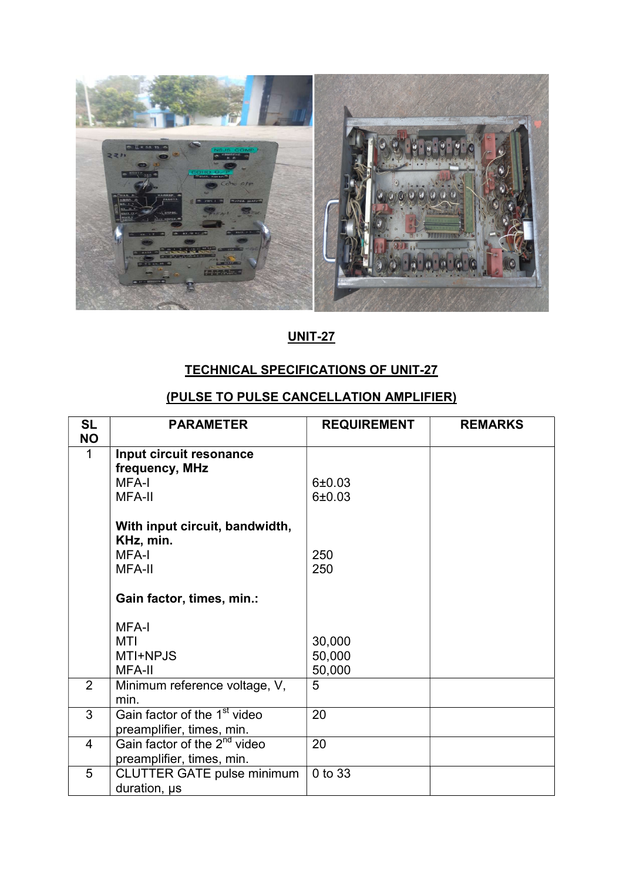

## UNIT-27

## TECHNICAL SPECIFICATIONS OF UNIT-27

## (PULSE TO PULSE CANCELLATION AMPLIFIER)

| <b>SL</b><br><b>NO</b> | <b>PARAMETER</b>                                                           | <b>REQUIREMENT</b> | <b>REMARKS</b> |
|------------------------|----------------------------------------------------------------------------|--------------------|----------------|
| $\mathbf 1$            | Input circuit resonance<br>frequency, MHz<br><b>MFA-I</b><br><b>MFA-II</b> | 6±0.03<br>6±0.03   |                |
|                        | With input circuit, bandwidth,<br>KHz, min.<br>MFA-I<br><b>MFA-II</b>      | 250<br>250         |                |
|                        | Gain factor, times, min.:                                                  |                    |                |
|                        | MFA-I                                                                      |                    |                |
|                        | MTI                                                                        | 30,000             |                |
|                        | MTI+NPJS                                                                   | 50,000             |                |
|                        | MFA-II                                                                     | 50,000             |                |
| $\overline{2}$         | Minimum reference voltage, V,<br>min.                                      | 5                  |                |
| 3                      | Gain factor of the 1 <sup>st</sup> video<br>preamplifier, times, min.      | 20                 |                |
| 4                      | Gain factor of the 2 <sup>nd</sup> video<br>preamplifier, times, min.      | 20                 |                |
| 5                      | <b>CLUTTER GATE pulse minimum</b><br>duration, us                          | 0 to 33            |                |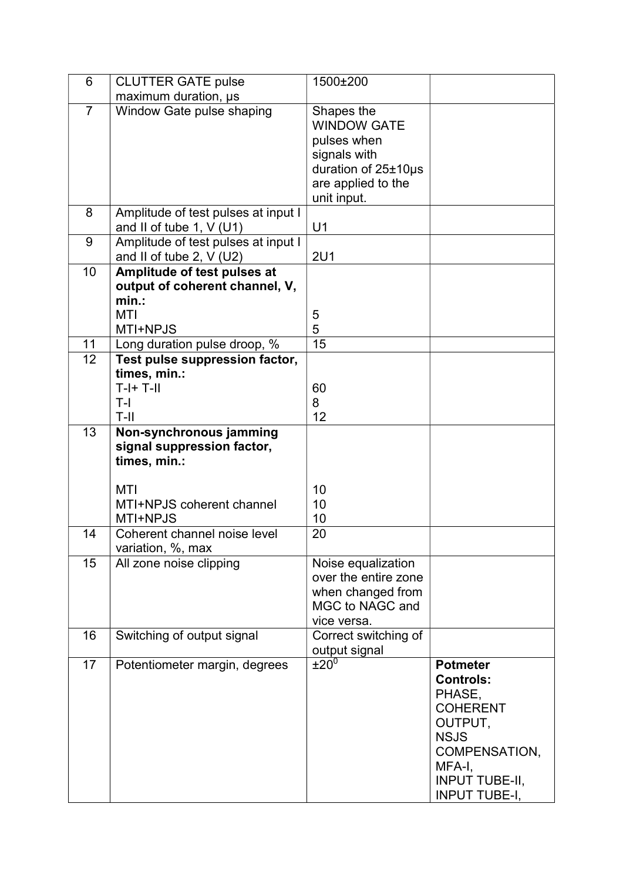| 6              | <b>CLUTTER GATE pulse</b>                                         | 1500±200                                        |                                     |
|----------------|-------------------------------------------------------------------|-------------------------------------------------|-------------------------------------|
|                | maximum duration, us                                              |                                                 |                                     |
| $\overline{7}$ | Window Gate pulse shaping                                         | Shapes the<br><b>WINDOW GATE</b><br>pulses when |                                     |
|                |                                                                   | signals with                                    |                                     |
|                |                                                                   | duration of 25±10µs                             |                                     |
|                |                                                                   | are applied to the                              |                                     |
|                |                                                                   | unit input.                                     |                                     |
| 8              | Amplitude of test pulses at input I                               |                                                 |                                     |
|                | and II of tube 1, $V$ (U1)                                        | U1                                              |                                     |
| 9              | Amplitude of test pulses at input I<br>and II of tube 2, $V$ (U2) | <b>2U1</b>                                      |                                     |
| 10             | Amplitude of test pulses at                                       |                                                 |                                     |
|                | output of coherent channel, V,                                    |                                                 |                                     |
|                | $min.$ :                                                          |                                                 |                                     |
|                | <b>MTI</b>                                                        | 5                                               |                                     |
|                | MTI+NPJS                                                          | 5                                               |                                     |
| 11<br>12       | Long duration pulse droop, %                                      | 15                                              |                                     |
|                | Test pulse suppression factor,<br>times, min.:                    |                                                 |                                     |
|                | $T-I+T-II$                                                        | 60                                              |                                     |
|                | $T-I$                                                             | 8                                               |                                     |
|                | T-II                                                              | 12                                              |                                     |
| 13             | Non-synchronous jamming                                           |                                                 |                                     |
|                | signal suppression factor,<br>times, min.:                        |                                                 |                                     |
|                | MTI                                                               | 10                                              |                                     |
|                | MTI+NPJS coherent channel                                         | 10                                              |                                     |
|                | MTI+NPJS                                                          | 10                                              |                                     |
| 14             | Coherent channel noise level                                      | 20                                              |                                     |
|                | variation, %, max                                                 |                                                 |                                     |
| 15             | All zone noise clipping                                           | Noise equalization<br>over the entire zone      |                                     |
|                |                                                                   | when changed from                               |                                     |
|                |                                                                   | MGC to NAGC and                                 |                                     |
|                |                                                                   | vice versa.                                     |                                     |
| 16             | Switching of output signal                                        | Correct switching of                            |                                     |
|                |                                                                   | output signal                                   |                                     |
| 17             | Potentiometer margin, degrees                                     | ±20 <sup>0</sup>                                | <b>Potmeter</b><br><b>Controls:</b> |
|                |                                                                   |                                                 | PHASE,                              |
|                |                                                                   |                                                 | <b>COHERENT</b>                     |
|                |                                                                   |                                                 | OUTPUT,                             |
|                |                                                                   |                                                 | <b>NSJS</b>                         |
|                |                                                                   |                                                 | COMPENSATION,                       |
|                |                                                                   |                                                 | MFA-I,                              |
|                |                                                                   |                                                 | <b>INPUT TUBE-II,</b>               |
|                |                                                                   |                                                 | <b>INPUT TUBE-I,</b>                |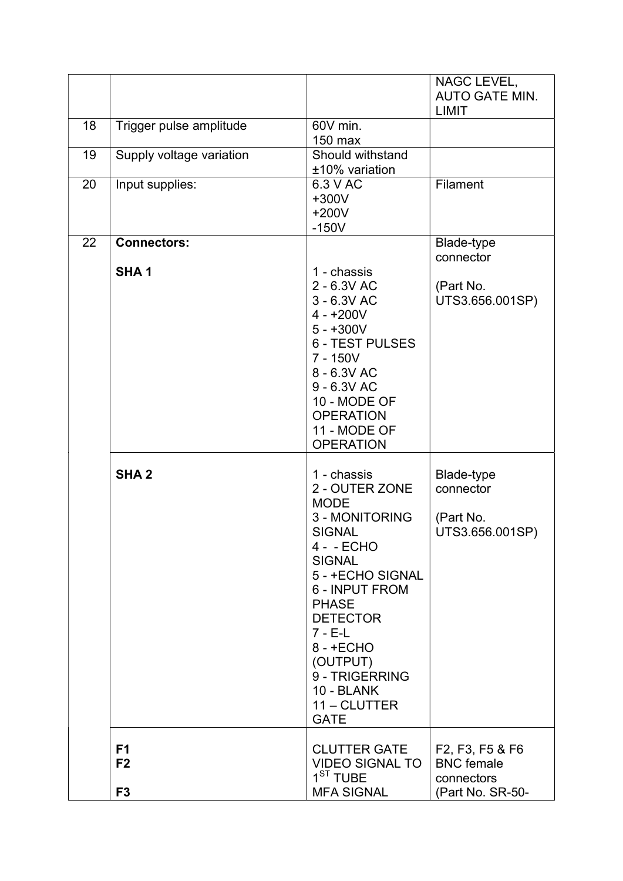|    |                                                    |                                                                                                                                                                                                                                                                                                | NAGC LEVEL,<br><b>AUTO GATE MIN.</b><br><b>LIMIT</b>                                                                     |
|----|----------------------------------------------------|------------------------------------------------------------------------------------------------------------------------------------------------------------------------------------------------------------------------------------------------------------------------------------------------|--------------------------------------------------------------------------------------------------------------------------|
| 18 | Trigger pulse amplitude                            | 60V min.<br>150 max                                                                                                                                                                                                                                                                            |                                                                                                                          |
| 19 | Supply voltage variation                           | Should withstand<br>±10% variation                                                                                                                                                                                                                                                             |                                                                                                                          |
| 20 | Input supplies:                                    | 6.3 V AC<br>$+300V$<br>$+200V$<br>$-150V$                                                                                                                                                                                                                                                      | <b>Filament</b>                                                                                                          |
| 22 | <b>Connectors:</b><br>SHA <sub>1</sub>             | 1 - chassis<br>2 - 6.3V AC<br>3 - 6.3V AC<br>$4 - +200V$<br>$5 - +300V$<br><b>6 - TEST PULSES</b><br>$7 - 150V$<br>8 - 6.3V AC<br>9 - 6.3V AC<br>10 - MODE OF<br><b>OPERATION</b><br>11 - MODE OF<br><b>OPERATION</b>                                                                          | Blade-type<br>connector<br>(Part No.<br>UTS3.656.001SP)                                                                  |
|    | SHA <sub>2</sub>                                   | 1 - chassis<br>2 - OUTER ZONE<br><b>MODE</b><br>3 - MONITORING<br><b>SIGNAL</b><br>4 - - ECHO<br><b>SIGNAL</b><br>5 - +ECHO SIGNAL<br>6 - INPUT FROM<br><b>PHASE</b><br><b>DETECTOR</b><br>$7 - E-L$<br>$8 - +ECHO$<br>(OUTPUT)<br>9 - TRIGERRING<br>10 - BLANK<br>11 - CLUTTER<br><b>GATE</b> | Blade-type<br>connector<br>(Part No.<br>UTS3.656.001SP)                                                                  |
|    | F <sub>1</sub><br>F <sub>2</sub><br>F <sub>3</sub> | <b>CLUTTER GATE</b><br><b>VIDEO SIGNAL TO</b><br>1 <sup>ST</sup> TUBE<br><b>MFA SIGNAL</b>                                                                                                                                                                                                     | F <sub>2</sub> , F <sub>3</sub> , F <sub>5</sub> & F <sub>6</sub><br><b>BNC</b> female<br>connectors<br>(Part No. SR-50- |